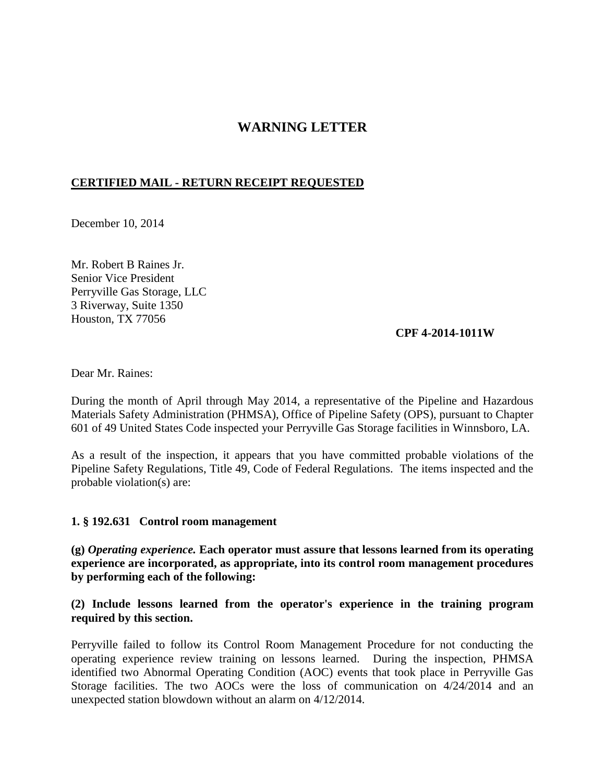# **WARNING LETTER**

## **CERTIFIED MAIL - RETURN RECEIPT REQUESTED**

December 10, 2014

Mr. Robert B Raines Jr. Senior Vice President Perryville Gas Storage, LLC 3 Riverway, Suite 1350 Houston, TX 77056

#### **CPF 4-2014-1011W**

Dear Mr. Raines:

During the month of April through May 2014, a representative of the Pipeline and Hazardous Materials Safety Administration (PHMSA), Office of Pipeline Safety (OPS), pursuant to Chapter 601 of 49 United States Code inspected your Perryville Gas Storage facilities in Winnsboro, LA.

As a result of the inspection, it appears that you have committed probable violations of the Pipeline Safety Regulations, Title 49, Code of Federal Regulations. The items inspected and the probable violation(s) are:

#### **1. § 192.631 Control room management**

**(g)** *Operating experience.* **Each operator must assure that lessons learned from its operating experience are incorporated, as appropriate, into its control room management procedures by performing each of the following:** 

### **(2) Include lessons learned from the operator's experience in the training program required by this section.**

Perryville failed to follow its Control Room Management Procedure for not conducting the operating experience review training on lessons learned. During the inspection, PHMSA identified two Abnormal Operating Condition (AOC) events that took place in Perryville Gas Storage facilities. The two AOCs were the loss of communication on 4/24/2014 and an unexpected station blowdown without an alarm on 4/12/2014.